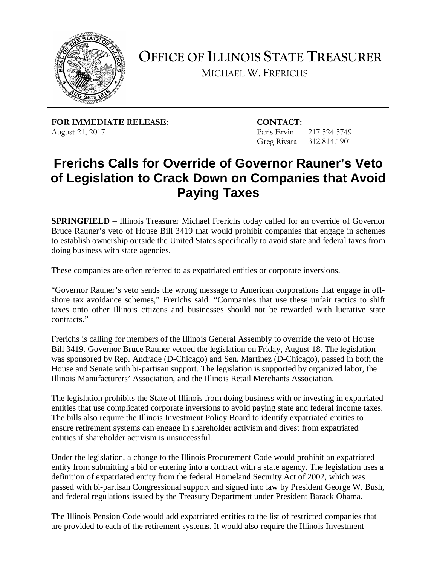

**OFFICE OF ILLINOIS STATE TREASURER** 

MICHAEL W. FRERICHS

**FOR IMMEDIATE RELEASE: CONTACT:** August 21, 2017 **Paris Ervin** 217.524.5749

Greg Rivara 312.814.1901

## **of Legislation to Crack Down on Companies that Avoid Frerichs Calls for Override of Governor Rauner's Veto Paying Taxes**

 **SPRINGFIELD** – Illinois Treasurer Michael Frerichs today called for an override of Governor Bruce Rauner's veto of House Bill 3419 that would prohibit companies that engage in schemes to establish ownership outside the United States specifically to avoid state and federal taxes from doing business with state agencies.

These companies are often referred to as expatriated entities or corporate inversions.

 "Governor Rauner's veto sends the wrong message to American corporations that engage in off- shore tax avoidance schemes," Frerichs said. "Companies that use these unfair tactics to shift taxes onto other Illinois citizens and businesses should not be rewarded with lucrative state contracts."

 Frerichs is calling for members of the Illinois General Assembly to override the veto of House House and Senate with bi-partisan support. The legislation is supported by organized labor, the Bill 3419. Governor Bruce Rauner vetoed the legislation on Friday, August 18. The legislation was sponsored by Rep. Andrade (D-Chicago) and Sen. Martinez (D-Chicago), passed in both the Illinois Manufacturers' Association, and the Illinois Retail Merchants Association.

 The legislation prohibits the State of Illinois from doing business with or investing in expatriated The bills also require the Illinois Investment Policy Board to identify expatriated entities to entities that use complicated corporate inversions to avoid paying state and federal income taxes. ensure retirement systems can engage in shareholder activism and divest from expatriated entities if shareholder activism is unsuccessful.

Under the legislation, a change to the Illinois Procurement Code would prohibit an expatriated entity from submitting a bid or entering into a contract with a state agency. The legislation uses a definition of expatriated entity from the federal Homeland Security Act of 2002, which was passed with bi-partisan Congressional support and signed into law by President George W. Bush, and federal regulations issued by the Treasury Department under President Barack Obama.

 The Illinois Pension Code would add expatriated entities to the list of restricted companies that are provided to each of the retirement systems. It would also require the Illinois Investment